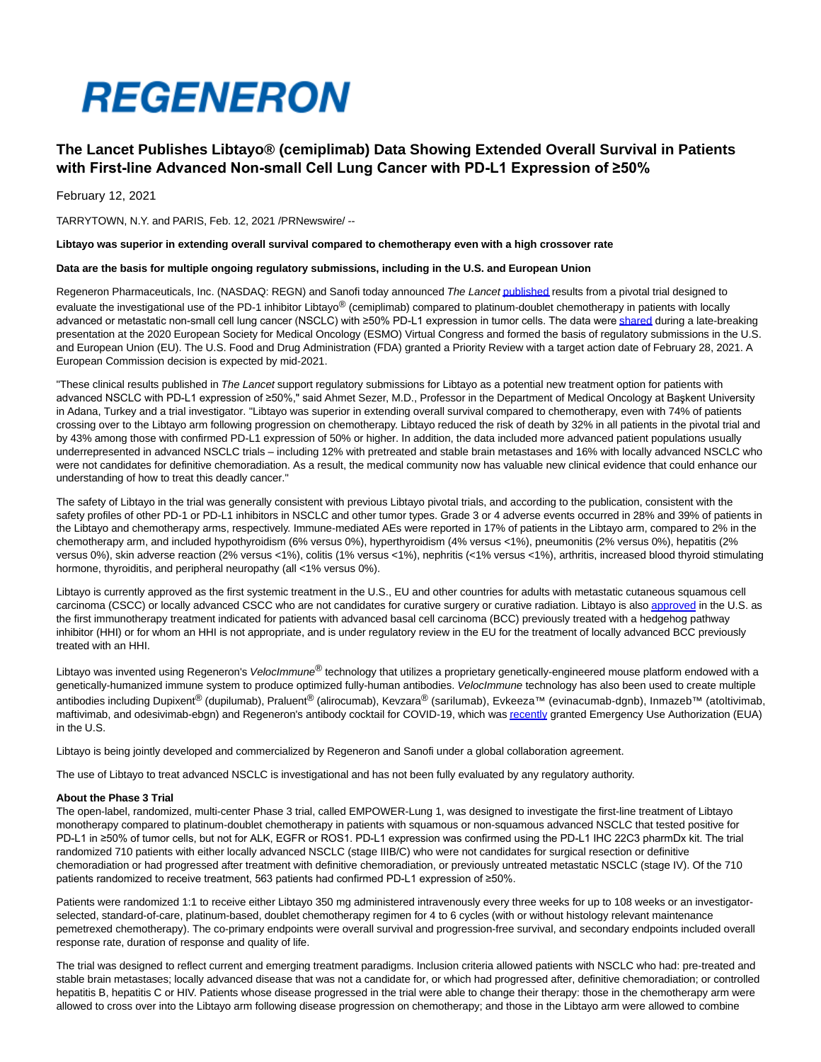# **REGENERON**

# **The Lancet Publishes Libtayo® (cemiplimab) Data Showing Extended Overall Survival in Patients with First-line Advanced Non-small Cell Lung Cancer with PD-L1 Expression of ≥50%**

February 12, 2021

TARRYTOWN, N.Y. and PARIS, Feb. 12, 2021 /PRNewswire/ --

# **Libtayo was superior in extending overall survival compared to chemotherapy even with a high crossover rate**

# **Data are the basis for multiple ongoing regulatory submissions, including in the U.S. and European Union**

Regeneron Pharmaceuticals, Inc. (NASDAQ: REGN) and Sanofi today announced The Lancet [published r](https://c212.net/c/link/?t=0&l=en&o=3066425-1&h=1467409608&u=https%3A%2F%2Fwww.thelancet.com%2Fjournals%2Flancet%2Farticle%2FPIIS0140-6736(21)00228-2%2Ffulltext&a=published)esults from a pivotal trial designed to evaluate the investigational use of the PD-1 inhibitor Libtayo<sup>®</sup> (cemiplimab) compared to platinum-doublet chemotherapy in patients with locally advanced or metastatic non-small cell lung cancer (NSCLC) with ≥50% PD-L1 expression in tumor cells. The data were [shared d](https://c212.net/c/link/?t=0&l=en&o=3066425-1&h=2135478830&u=https%3A%2F%2Finvestor.regeneron.com%2Fnews-releases%2Fnews-release-details%2Flate-breaking-esmo-presentation-shows-libtayor-cemiplimab&a=shared)uring a late-breaking presentation at the 2020 European Society for Medical Oncology (ESMO) Virtual Congress and formed the basis of regulatory submissions in the U.S. and European Union (EU). The U.S. Food and Drug Administration (FDA) granted a Priority Review with a target action date of February 28, 2021. A European Commission decision is expected by mid-2021.

"These clinical results published in The Lancet support regulatory submissions for Libtayo as a potential new treatment option for patients with advanced NSCLC with PD-L1 expression of ≥50%," said Ahmet Sezer, M.D., Professor in the Department of Medical Oncology at Başkent University in Adana, Turkey and a trial investigator. "Libtayo was superior in extending overall survival compared to chemotherapy, even with 74% of patients crossing over to the Libtayo arm following progression on chemotherapy. Libtayo reduced the risk of death by 32% in all patients in the pivotal trial and by 43% among those with confirmed PD-L1 expression of 50% or higher. In addition, the data included more advanced patient populations usually underrepresented in advanced NSCLC trials – including 12% with pretreated and stable brain metastases and 16% with locally advanced NSCLC who were not candidates for definitive chemoradiation. As a result, the medical community now has valuable new clinical evidence that could enhance our understanding of how to treat this deadly cancer."

The safety of Libtayo in the trial was generally consistent with previous Libtayo pivotal trials, and according to the publication, consistent with the safety profiles of other PD-1 or PD-L1 inhibitors in NSCLC and other tumor types. Grade 3 or 4 adverse events occurred in 28% and 39% of patients in the Libtayo and chemotherapy arms, respectively. Immune-mediated AEs were reported in 17% of patients in the Libtayo arm, compared to 2% in the chemotherapy arm, and included hypothyroidism (6% versus 0%), hyperthyroidism (4% versus <1%), pneumonitis (2% versus 0%), hepatitis (2% versus 0%), skin adverse reaction (2% versus <1%), colitis (1% versus <1%), nephritis (<1% versus <1%), arthritis, increased blood thyroid stimulating hormone, thyroiditis, and peripheral neuropathy (all <1% versus 0%).

Libtayo is currently approved as the first systemic treatment in the U.S., EU and other countries for adults with metastatic cutaneous squamous cell carcinoma (CSCC) or locally advanced CSCC who are not candidates for curative surgery or curative radiation. Libtayo is also [approved i](https://c212.net/c/link/?t=0&l=en&o=3066425-1&h=1990542141&u=https%3A%2F%2Finvestor.regeneron.com%2Fnews-releases%2Fnews-release-details%2Ffda-approves-libtayor-cemiplimab-rwlc-first-immunotherapy&a=approved)n the U.S. as the first immunotherapy treatment indicated for patients with advanced basal cell carcinoma (BCC) previously treated with a hedgehog pathway inhibitor (HHI) or for whom an HHI is not appropriate, and is under regulatory review in the EU for the treatment of locally advanced BCC previously treated with an HHI.

Libtayo was invented using Regeneron's Veloclmmune® technology that utilizes a proprietary genetically-engineered mouse platform endowed with a genetically-humanized immune system to produce optimized fully-human antibodies. VelocImmune technology has also been used to create multiple antibodies including Dupixent® (dupilumab), Praluent® (alirocumab), Kevzara® (sarilumab), Evkeeza™ (evinacumab-dgnb), Inmazeb™ (atoltivimab, maftivimab, and odesivimab-ebgn) and Regeneron's antibody cocktail for COVID-19, which wa[s recently g](https://c212.net/c/link/?t=0&l=en&o=3066425-1&h=4194461307&u=https%3A%2F%2Finvestor.regeneron.com%2Fnews-releases%2Fnews-release-details%2Fregenerons-regen-cov2-first-antibody-cocktail-covid-19-receive&a=recently)ranted Emergency Use Authorization (EUA) in the U.S.

Libtayo is being jointly developed and commercialized by Regeneron and Sanofi under a global collaboration agreement.

The use of Libtayo to treat advanced NSCLC is investigational and has not been fully evaluated by any regulatory authority.

# **About the Phase 3 Trial**

The open-label, randomized, multi-center Phase 3 trial, called EMPOWER-Lung 1, was designed to investigate the first-line treatment of Libtayo monotherapy compared to platinum-doublet chemotherapy in patients with squamous or non-squamous advanced NSCLC that tested positive for PD-L1 in ≥50% of tumor cells, but not for ALK, EGFR or ROS1. PD-L1 expression was confirmed using the PD-L1 IHC 22C3 pharmDx kit. The trial randomized 710 patients with either locally advanced NSCLC (stage IIIB/C) who were not candidates for surgical resection or definitive chemoradiation or had progressed after treatment with definitive chemoradiation, or previously untreated metastatic NSCLC (stage IV). Of the 710 patients randomized to receive treatment, 563 patients had confirmed PD-L1 expression of ≥50%.

Patients were randomized 1:1 to receive either Libtayo 350 mg administered intravenously every three weeks for up to 108 weeks or an investigatorselected, standard-of-care, platinum-based, doublet chemotherapy regimen for 4 to 6 cycles (with or without histology relevant maintenance pemetrexed chemotherapy). The co-primary endpoints were overall survival and progression-free survival, and secondary endpoints included overall response rate, duration of response and quality of life.

The trial was designed to reflect current and emerging treatment paradigms. Inclusion criteria allowed patients with NSCLC who had: pre-treated and stable brain metastases; locally advanced disease that was not a candidate for, or which had progressed after, definitive chemoradiation; or controlled hepatitis B, hepatitis C or HIV. Patients whose disease progressed in the trial were able to change their therapy: those in the chemotherapy arm were allowed to cross over into the Libtayo arm following disease progression on chemotherapy; and those in the Libtayo arm were allowed to combine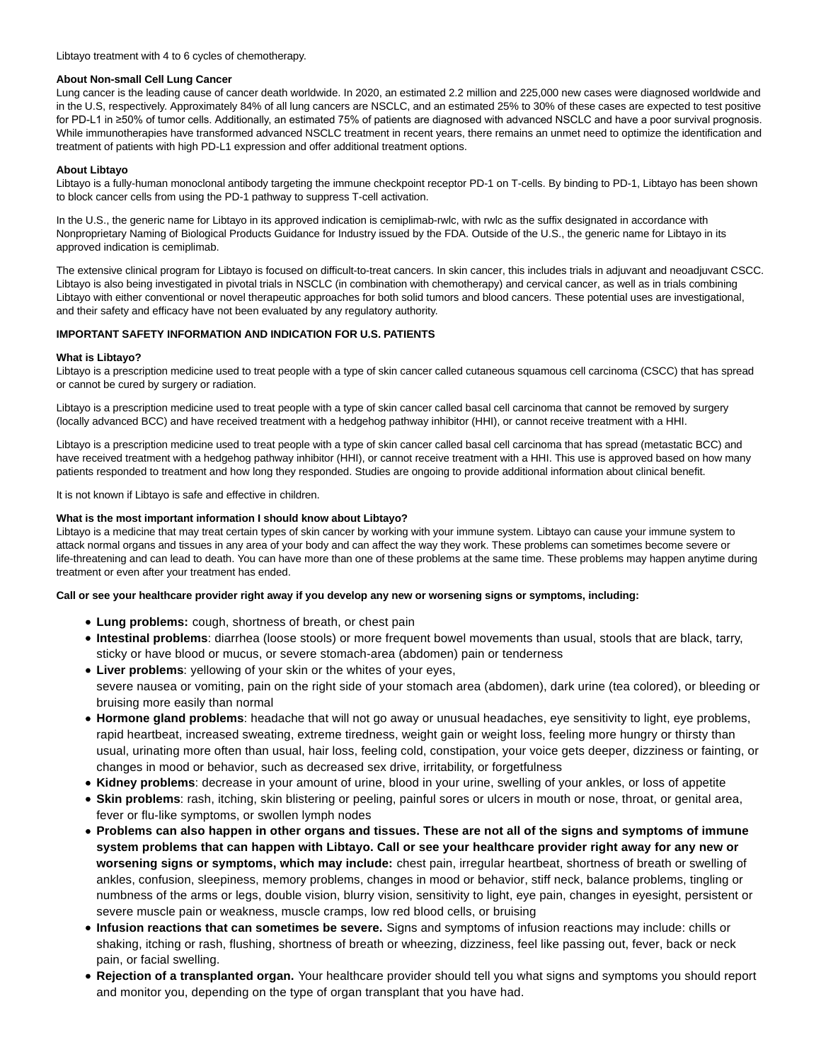Libtayo treatment with 4 to 6 cycles of chemotherapy.

# **About Non-small Cell Lung Cancer**

Lung cancer is the leading cause of cancer death worldwide. In 2020, an estimated 2.2 million and 225,000 new cases were diagnosed worldwide and in the U.S, respectively. Approximately 84% of all lung cancers are NSCLC, and an estimated 25% to 30% of these cases are expected to test positive for PD-L1 in ≥50% of tumor cells. Additionally, an estimated 75% of patients are diagnosed with advanced NSCLC and have a poor survival prognosis. While immunotherapies have transformed advanced NSCLC treatment in recent years, there remains an unmet need to optimize the identification and treatment of patients with high PD-L1 expression and offer additional treatment options.

# **About Libtayo**

Libtayo is a fully-human monoclonal antibody targeting the immune checkpoint receptor PD-1 on T-cells. By binding to PD-1, Libtayo has been shown to block cancer cells from using the PD-1 pathway to suppress T-cell activation.

In the U.S., the generic name for Libtayo in its approved indication is cemiplimab-rwlc, with rwlc as the suffix designated in accordance with Nonproprietary Naming of Biological Products Guidance for Industry issued by the FDA. Outside of the U.S., the generic name for Libtayo in its approved indication is cemiplimab.

The extensive clinical program for Libtayo is focused on difficult-to-treat cancers. In skin cancer, this includes trials in adjuvant and neoadjuvant CSCC. Libtayo is also being investigated in pivotal trials in NSCLC (in combination with chemotherapy) and cervical cancer, as well as in trials combining Libtayo with either conventional or novel therapeutic approaches for both solid tumors and blood cancers. These potential uses are investigational, and their safety and efficacy have not been evaluated by any regulatory authority.

# **IMPORTANT SAFETY INFORMATION AND INDICATION FOR U.S. PATIENTS**

#### **What is Libtayo?**

Libtayo is a prescription medicine used to treat people with a type of skin cancer called cutaneous squamous cell carcinoma (CSCC) that has spread or cannot be cured by surgery or radiation.

Libtayo is a prescription medicine used to treat people with a type of skin cancer called basal cell carcinoma that cannot be removed by surgery (locally advanced BCC) and have received treatment with a hedgehog pathway inhibitor (HHI), or cannot receive treatment with a HHI.

Libtayo is a prescription medicine used to treat people with a type of skin cancer called basal cell carcinoma that has spread (metastatic BCC) and have received treatment with a hedgehog pathway inhibitor (HHI), or cannot receive treatment with a HHI. This use is approved based on how many patients responded to treatment and how long they responded. Studies are ongoing to provide additional information about clinical benefit.

It is not known if Libtayo is safe and effective in children.

# **What is the most important information I should know about Libtayo?**

Libtayo is a medicine that may treat certain types of skin cancer by working with your immune system. Libtayo can cause your immune system to attack normal organs and tissues in any area of your body and can affect the way they work. These problems can sometimes become severe or life-threatening and can lead to death. You can have more than one of these problems at the same time. These problems may happen anytime during treatment or even after your treatment has ended.

# **Call or see your healthcare provider right away if you develop any new or worsening signs or symptoms, including:**

- **Lung problems:** cough, shortness of breath, or chest pain
- **Intestinal problems**: diarrhea (loose stools) or more frequent bowel movements than usual, stools that are black, tarry, sticky or have blood or mucus, or severe stomach-area (abdomen) pain or tenderness
- **Liver problems**: yellowing of your skin or the whites of your eyes, severe nausea or vomiting, pain on the right side of your stomach area (abdomen), dark urine (tea colored), or bleeding or bruising more easily than normal
- **Hormone gland problems**: headache that will not go away or unusual headaches, eye sensitivity to light, eye problems, rapid heartbeat, increased sweating, extreme tiredness, weight gain or weight loss, feeling more hungry or thirsty than usual, urinating more often than usual, hair loss, feeling cold, constipation, your voice gets deeper, dizziness or fainting, or changes in mood or behavior, such as decreased sex drive, irritability, or forgetfulness
- **Kidney problems**: decrease in your amount of urine, blood in your urine, swelling of your ankles, or loss of appetite
- **Skin problems**: rash, itching, skin blistering or peeling, painful sores or ulcers in mouth or nose, throat, or genital area, fever or flu-like symptoms, or swollen lymph nodes
- **Problems can also happen in other organs and tissues. These are not all of the signs and symptoms of immune system problems that can happen with Libtayo. Call or see your healthcare provider right away for any new or worsening signs or symptoms, which may include:** chest pain, irregular heartbeat, shortness of breath or swelling of ankles, confusion, sleepiness, memory problems, changes in mood or behavior, stiff neck, balance problems, tingling or numbness of the arms or legs, double vision, blurry vision, sensitivity to light, eye pain, changes in eyesight, persistent or severe muscle pain or weakness, muscle cramps, low red blood cells, or bruising
- **Infusion reactions that can sometimes be severe.** Signs and symptoms of infusion reactions may include: chills or shaking, itching or rash, flushing, shortness of breath or wheezing, dizziness, feel like passing out, fever, back or neck pain, or facial swelling.
- **Rejection of a transplanted organ.** Your healthcare provider should tell you what signs and symptoms you should report and monitor you, depending on the type of organ transplant that you have had.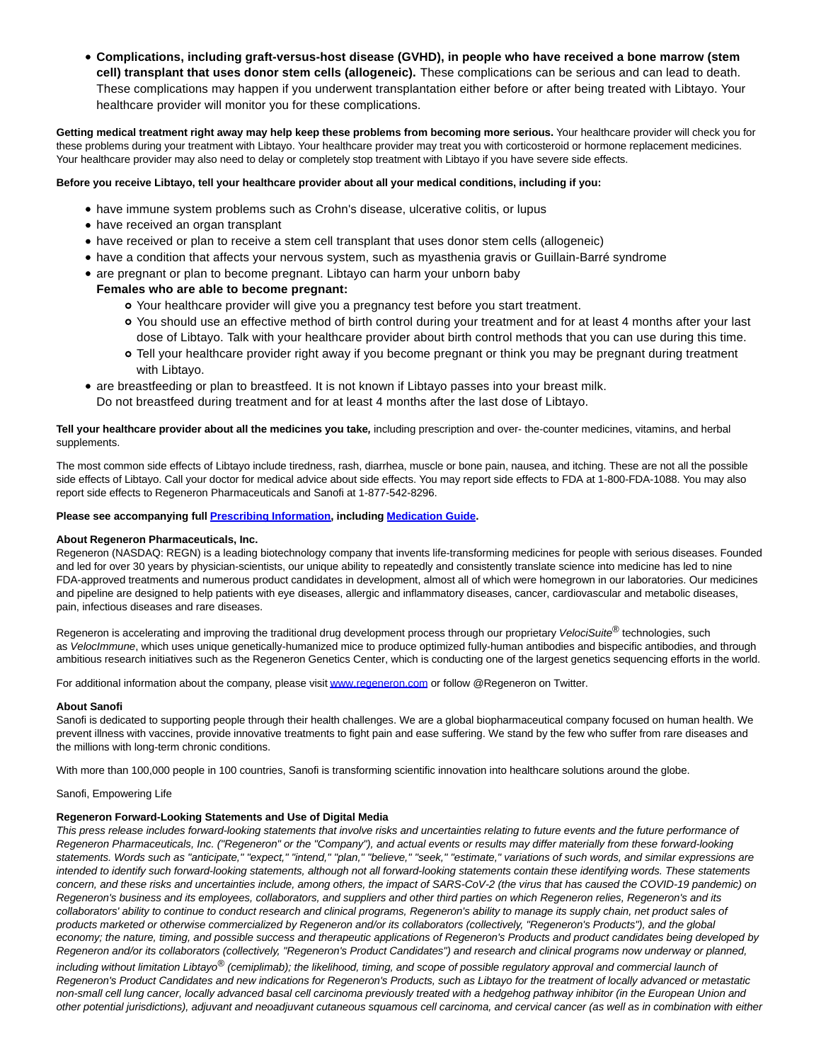**Complications, including graft-versus-host disease (GVHD), in people who have received a bone marrow (stem cell) transplant that uses donor stem cells (allogeneic).** These complications can be serious and can lead to death. These complications may happen if you underwent transplantation either before or after being treated with Libtayo. Your healthcare provider will monitor you for these complications.

Getting medical treatment right away may help keep these problems from becoming more serious. Your healthcare provider will check you for these problems during your treatment with Libtayo. Your healthcare provider may treat you with corticosteroid or hormone replacement medicines. Your healthcare provider may also need to delay or completely stop treatment with Libtayo if you have severe side effects.

# **Before you receive Libtayo, tell your healthcare provider about all your medical conditions, including if you:**

- have immune system problems such as Crohn's disease, ulcerative colitis, or lupus
- have received an organ transplant
- have received or plan to receive a stem cell transplant that uses donor stem cells (allogeneic)
- have a condition that affects your nervous system, such as myasthenia gravis or Guillain-Barré syndrome
- are pregnant or plan to become pregnant. Libtayo can harm your unborn baby

# **Females who are able to become pregnant:**

- Your healthcare provider will give you a pregnancy test before you start treatment.
- You should use an effective method of birth control during your treatment and for at least 4 months after your last dose of Libtayo. Talk with your healthcare provider about birth control methods that you can use during this time.
- Tell your healthcare provider right away if you become pregnant or think you may be pregnant during treatment with Libtayo.
- are breastfeeding or plan to breastfeed. It is not known if Libtayo passes into your breast milk.

Do not breastfeed during treatment and for at least 4 months after the last dose of Libtayo.

**Tell your healthcare provider about all the medicines you take,** including prescription and over- the-counter medicines, vitamins, and herbal supplements.

The most common side effects of Libtayo include tiredness, rash, diarrhea, muscle or bone pain, nausea, and itching. These are not all the possible side effects of Libtayo. Call your doctor for medical advice about side effects. You may report side effects to FDA at 1-800-FDA-1088. You may also report side effects to Regeneron Pharmaceuticals and Sanofi at 1-877-542-8296.

# **Please see accompanying full [Prescribing Information,](https://c212.net/c/link/?t=0&l=en&o=3066425-1&h=1629375195&u=https%3A%2F%2Fwww.regeneron.com%2Fsites%2Fdefault%2Ffiles%2FLibtayo_FPI.pdf&a=Prescribing+Information) including [Medication Guide.](https://c212.net/c/link/?t=0&l=en&o=3066425-1&h=1900957531&u=https%3A%2F%2Fwww.regeneron.com%2Fsites%2Fdefault%2Ffiles%2Fx1216(3)a.pdf&a=Medication+Guide)**

# **About Regeneron Pharmaceuticals, Inc.**

Regeneron (NASDAQ: REGN) is a leading biotechnology company that invents life-transforming medicines for people with serious diseases. Founded and led for over 30 years by physician-scientists, our unique ability to repeatedly and consistently translate science into medicine has led to nine FDA-approved treatments and numerous product candidates in development, almost all of which were homegrown in our laboratories. Our medicines and pipeline are designed to help patients with eye diseases, allergic and inflammatory diseases, cancer, cardiovascular and metabolic diseases, pain, infectious diseases and rare diseases.

Regeneron is accelerating and improving the traditional drug development process through our proprietary VelociSuite® technologies, such as VelocImmune, which uses unique genetically-humanized mice to produce optimized fully-human antibodies and bispecific antibodies, and through ambitious research initiatives such as the Regeneron Genetics Center, which is conducting one of the largest genetics sequencing efforts in the world.

For additional information about the company, please visi[t www.regeneron.com o](https://c212.net/c/link/?t=0&l=en&o=3066425-1&h=3990085039&u=http%3A%2F%2Fwww.regeneron.com%2F&a=www.regeneron.com)r follow @Regeneron on Twitter.

# **About Sanofi**

Sanofi is dedicated to supporting people through their health challenges. We are a global biopharmaceutical company focused on human health. We prevent illness with vaccines, provide innovative treatments to fight pain and ease suffering. We stand by the few who suffer from rare diseases and the millions with long-term chronic conditions.

With more than 100,000 people in 100 countries, Sanofi is transforming scientific innovation into healthcare solutions around the globe.

# Sanofi, Empowering Life

# **Regeneron Forward-Looking Statements and Use of Digital Media**

This press release includes forward-looking statements that involve risks and uncertainties relating to future events and the future performance of Regeneron Pharmaceuticals, Inc. ("Regeneron" or the "Company"), and actual events or results may differ materially from these forward-looking statements. Words such as "anticipate," "expect," "intend," "plan," "believe," "seek," "estimate," variations of such words, and similar expressions are intended to identify such forward-looking statements, although not all forward-looking statements contain these identifying words. These statements concern, and these risks and uncertainties include, among others, the impact of SARS-CoV-2 (the virus that has caused the COVID-19 pandemic) on Regeneron's business and its employees, collaborators, and suppliers and other third parties on which Regeneron relies, Regeneron's and its collaborators' ability to continue to conduct research and clinical programs, Regeneron's ability to manage its supply chain, net product sales of products marketed or otherwise commercialized by Regeneron and/or its collaborators (collectively, "Regeneron's Products"), and the global economy; the nature, timing, and possible success and therapeutic applications of Regeneron's Products and product candidates being developed by Regeneron and/or its collaborators (collectively, "Regeneron's Product Candidates") and research and clinical programs now underway or planned, including without limitation Libtayo<sup>®</sup> (cemiplimab); the likelihood, timing, and scope of possible regulatory approval and commercial launch of Regeneron's Product Candidates and new indications for Regeneron's Products, such as Libtayo for the treatment of locally advanced or metastatic non-small cell lung cancer, locally advanced basal cell carcinoma previously treated with a hedgehog pathway inhibitor (in the European Union and other potential jurisdictions), adjuvant and neoadjuvant cutaneous squamous cell carcinoma, and cervical cancer (as well as in combination with either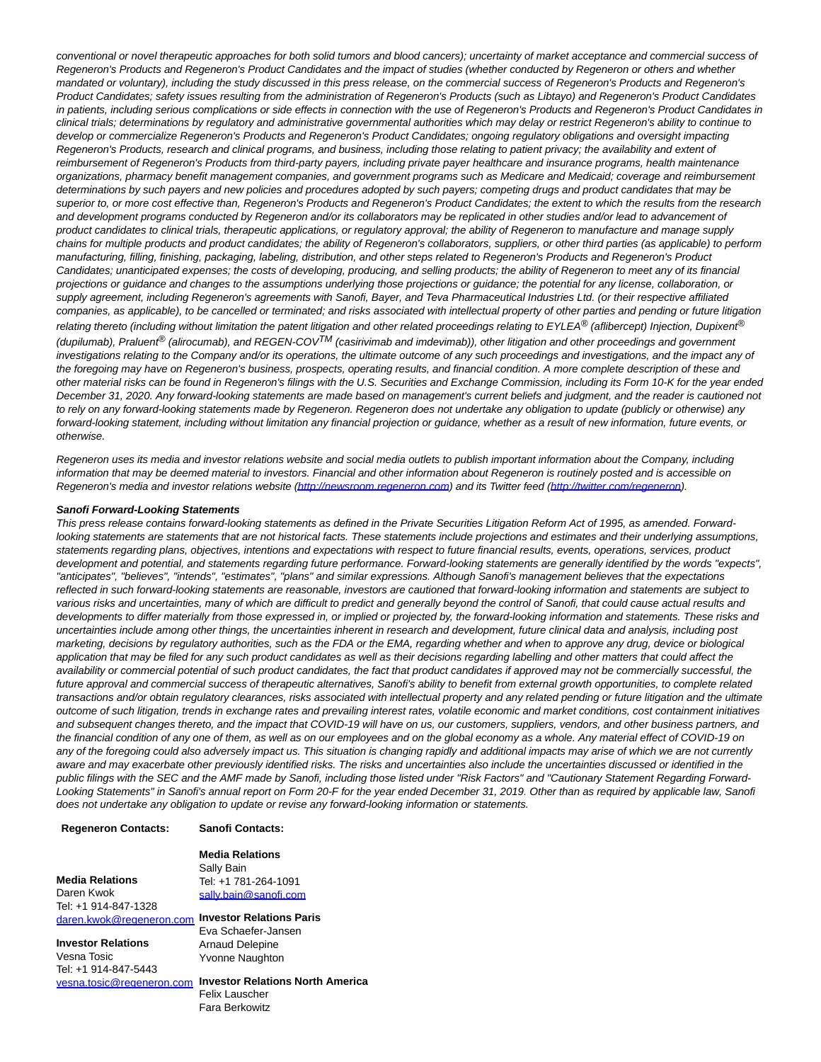conventional or novel therapeutic approaches for both solid tumors and blood cancers); uncertainty of market acceptance and commercial success of Regeneron's Products and Regeneron's Product Candidates and the impact of studies (whether conducted by Regeneron or others and whether mandated or voluntary), including the study discussed in this press release, on the commercial success of Regeneron's Products and Regeneron's Product Candidates; safety issues resulting from the administration of Regeneron's Products (such as Libtayo) and Regeneron's Product Candidates in patients, including serious complications or side effects in connection with the use of Regeneron's Products and Regeneron's Product Candidates in clinical trials; determinations by regulatory and administrative governmental authorities which may delay or restrict Regeneron's ability to continue to develop or commercialize Regeneron's Products and Regeneron's Product Candidates; ongoing regulatory obligations and oversight impacting Regeneron's Products, research and clinical programs, and business, including those relating to patient privacy; the availability and extent of reimbursement of Regeneron's Products from third-party payers, including private payer healthcare and insurance programs, health maintenance organizations, pharmacy benefit management companies, and government programs such as Medicare and Medicaid; coverage and reimbursement determinations by such payers and new policies and procedures adopted by such payers; competing drugs and product candidates that may be superior to, or more cost effective than, Regeneron's Products and Regeneron's Product Candidates; the extent to which the results from the research and development programs conducted by Regeneron and/or its collaborators may be replicated in other studies and/or lead to advancement of product candidates to clinical trials, therapeutic applications, or regulatory approval; the ability of Regeneron to manufacture and manage supply chains for multiple products and product candidates; the ability of Regeneron's collaborators, suppliers, or other third parties (as applicable) to perform manufacturing, filling, finishing, packaging, labeling, distribution, and other steps related to Regeneron's Products and Regeneron's Product Candidates; unanticipated expenses; the costs of developing, producing, and selling products; the ability of Regeneron to meet any of its financial projections or guidance and changes to the assumptions underlying those projections or guidance; the potential for any license, collaboration, or supply agreement, including Regeneron's agreements with Sanofi, Bayer, and Teva Pharmaceutical Industries Ltd. (or their respective affiliated companies, as applicable), to be cancelled or terminated; and risks associated with intellectual property of other parties and pending or future litigation relating thereto (including without limitation the patent litigation and other related proceedings relating to EYLEA® (aflibercept) Injection, Dupixent<sup>®</sup> (dupilumab), Praluent<sup>®</sup> (alirocumab), and REGEN-COV<sup>TM</sup> (casirivimab and imdevimab)), other litigation and other proceedings and government investigations relating to the Company and/or its operations, the ultimate outcome of any such proceedings and investigations, and the impact any of the foregoing may have on Regeneron's business, prospects, operating results, and financial condition. A more complete description of these and other material risks can be found in Regeneron's filings with the U.S. Securities and Exchange Commission, including its Form 10-K for the year ended December 31, 2020. Any forward-looking statements are made based on management's current beliefs and judgment, and the reader is cautioned not to rely on any forward-looking statements made by Regeneron. Regeneron does not undertake any obligation to update (publicly or otherwise) any forward-looking statement, including without limitation any financial projection or guidance, whether as a result of new information, future events, or otherwise.

Regeneron uses its media and investor relations website and social media outlets to publish important information about the Company, including information that may be deemed material to investors. Financial and other information about Regeneron is routinely posted and is accessible on Regeneron's media and investor relations website [\(http://newsroom.regeneron.com\)](https://c212.net/c/link/?t=0&l=en&o=3066425-1&h=3300566741&u=http%3A%2F%2Fnewsroom.regeneron.com%2F&a=http%3A%2F%2Fnewsroom.regeneron.com) and its Twitter feed [\(http://twitter.com/regeneron\).](https://c212.net/c/link/?t=0&l=en&o=3066425-1&h=603998501&u=http%3A%2F%2Ftwitter.com%2Fregeneron&a=http%3A%2F%2Ftwitter.com%2Fregeneron)

#### **Sanofi Forward-Looking Statements**

This press release contains forward-looking statements as defined in the Private Securities Litigation Reform Act of 1995, as amended. Forwardlooking statements are statements that are not historical facts. These statements include projections and estimates and their underlying assumptions, statements regarding plans, objectives, intentions and expectations with respect to future financial results, events, operations, services, product development and potential, and statements regarding future performance. Forward-looking statements are generally identified by the words "expects", "anticipates", "believes", "intends", "estimates", "plans" and similar expressions. Although Sanofi's management believes that the expectations reflected in such forward-looking statements are reasonable, investors are cautioned that forward-looking information and statements are subject to various risks and uncertainties, many of which are difficult to predict and generally beyond the control of Sanofi, that could cause actual results and developments to differ materially from those expressed in, or implied or projected by, the forward-looking information and statements. These risks and uncertainties include among other things, the uncertainties inherent in research and development, future clinical data and analysis, including post marketing, decisions by regulatory authorities, such as the FDA or the EMA, regarding whether and when to approve any drug, device or biological application that may be filed for any such product candidates as well as their decisions regarding labelling and other matters that could affect the availability or commercial potential of such product candidates, the fact that product candidates if approved may not be commercially successful, the future approval and commercial success of therapeutic alternatives, Sanofi's ability to benefit from external growth opportunities, to complete related transactions and/or obtain regulatory clearances, risks associated with intellectual property and any related pending or future litigation and the ultimate outcome of such litigation, trends in exchange rates and prevailing interest rates, volatile economic and market conditions, cost containment initiatives and subsequent changes thereto, and the impact that COVID-19 will have on us, our customers, suppliers, vendors, and other business partners, and the financial condition of any one of them, as well as on our employees and on the global economy as a whole. Any material effect of COVID-19 on any of the foregoing could also adversely impact us. This situation is changing rapidly and additional impacts may arise of which we are not currently aware and may exacerbate other previously identified risks. The risks and uncertainties also include the uncertainties discussed or identified in the public filings with the SEC and the AMF made by Sanofi, including those listed under "Risk Factors" and "Cautionary Statement Regarding Forward-Looking Statements" in Sanofi's annual report on Form 20-F for the year ended December 31, 2019. Other than as required by applicable law, Sanofi does not undertake any obligation to update or revise any forward-looking information or statements.

|  | <b>Regeneron Contacts:</b> |  |
|--|----------------------------|--|
|  |                            |  |

**Regeneron Contacts: Sanofi Contacts:**

|                           | <b>Media Relations</b>                  |
|---------------------------|-----------------------------------------|
|                           | Sally Bain                              |
| Media Relations           | Tel: +1 781-264-1091                    |
| Daren Kwok                | sally bain@sanofi.com                   |
| Tel: +1 914-847-1328      |                                         |
| daren.kwok@regeneron.com  | <b>Investor Relations Paris</b>         |
|                           | Eva Schaefer-Jansen                     |
| Investor Relations        | <b>Arnaud Delepine</b>                  |
| Vesna Tosic               | Yvonne Naughton                         |
| Tel: +1 914-847-5443      |                                         |
| vesna.tosic@regeneron.com | <b>Investor Relations North America</b> |
|                           | <b>Felix Lauscher</b>                   |
|                           | Fara Berkowitz                          |